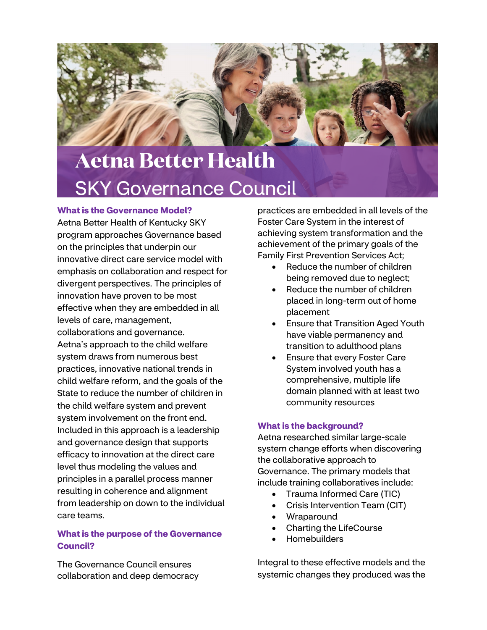

# **Aetna Better Health** SKY Governance Council

### **What is the Governance Model?**

Aetna Better Health of Kentucky SKY program approaches Governance based on the principles that underpin our innovative direct care service model with emphasis on collaboration and respect for divergent perspectives. The principles of innovation have proven to be most effective when they are embedded in all levels of care, management, collaborations and governance. Aetna's approach to the child welfare system draws from numerous best practices, innovative national trends in child welfare reform, and the goals of the State to reduce the number of children in the child welfare system and prevent system involvement on the front end. Included in this approach is a leadership and governance design that supports efficacy to innovation at the direct care level thus modeling the values and principles in a parallel process manner resulting in coherence and alignment from leadership on down to the individual care teams.

## **What is the purpose of the Governance Council?**

The Governance Council ensures collaboration and deep democracy practices are embedded in all levels of the Foster Care System in the interest of achieving system transformation and the achievement of the primary goals of the Family First Prevention Services Act;

- Reduce the number of children being removed due to neglect:
- Reduce the number of children placed in long-term out of home placement
- Ensure that Transition Aged Youth have viable permanency and transition to adulthood plans
- Ensure that every Foster Care System involved youth has a comprehensive, multiple life domain planned with at least two community resources

## **What is the background?**

Aetna researched similar large-scale system change efforts when discovering the collaborative approach to Governance. The primary models that include training collaboratives include:

- Trauma Informed Care (TIC)
- Crisis Intervention Team (CIT)
- **Wraparound**
- Charting the LifeCourse
- Homebuilders

Integral to these effective models and the systemic changes they produced was the